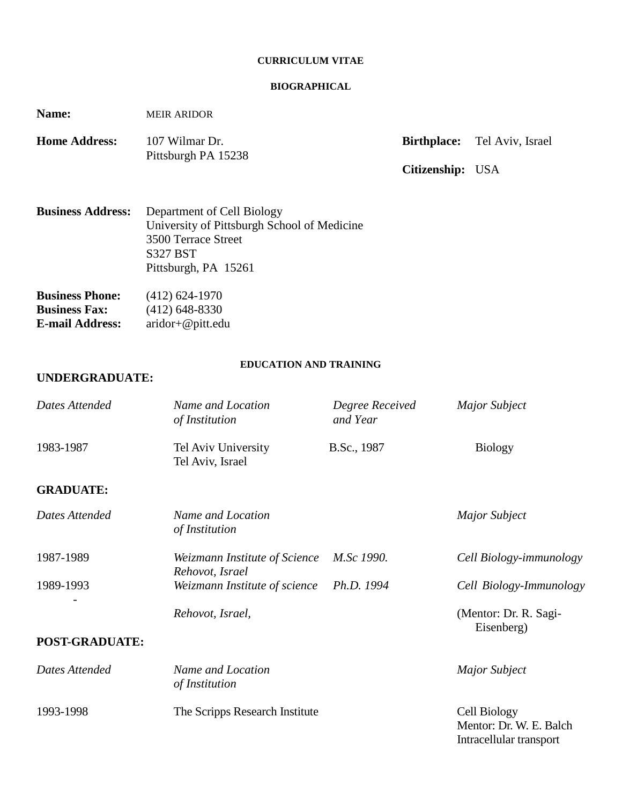#### **CURRICULUM VITAE**

#### **BIOGRAPHICAL**

**Name:** MEIR ARIDOR

| <b>Home Address:</b> | 107 Wilmar Dr.      |                  | <b>Birthplace:</b> Tel Aviv, Israel |
|----------------------|---------------------|------------------|-------------------------------------|
|                      | Pittsburgh PA 15238 |                  |                                     |
|                      |                     | Citizenship: USA |                                     |

| <b>Business Address:</b> Department of Cell Biology |
|-----------------------------------------------------|
| University of Pittsburgh School of Medicine         |
| 3500 Terrace Street                                 |
| <b>S327 BST</b>                                     |
| Pittsburgh, PA 15261                                |
|                                                     |

| <b>Business Phone:</b> | $(412)$ 624-1970      |
|------------------------|-----------------------|
| <b>Business Fax:</b>   | $(412)$ 648-8330      |
| <b>E-mail Address:</b> | $aridor + @$ pitt.edu |

## **EDUCATION AND TRAINING**

## **UNDERGRADUATE:**

| Dates Attended        | Name and Location<br>of Institution              | Degree Received<br>and Year | <b>Major Subject</b>                |
|-----------------------|--------------------------------------------------|-----------------------------|-------------------------------------|
| 1983-1987             | Tel Aviv University<br>Tel Aviv, Israel          | B.Sc., 1987                 | <b>Biology</b>                      |
| <b>GRADUATE:</b>      |                                                  |                             |                                     |
| Dates Attended        | Name and Location<br>of Institution              |                             | <b>Major Subject</b>                |
| 1987-1989             | Weizmann Institute of Science<br>Rehovot, Israel | M.Sc 1990.                  | Cell Biology-immunology             |
| 1989-1993             | Weizmann Institute of science                    | Ph.D. 1994                  | Cell Biology-Immunology             |
|                       | Rehovot, Israel,                                 |                             | (Mentor: Dr. R. Sagi-<br>Eisenberg) |
| <b>POST-GRADUATE:</b> |                                                  |                             |                                     |
| Dates Attended        | Name and Location<br>of Institution              |                             | <b>Major Subject</b>                |
| 1993-1998             | The Scripps Research Institute                   |                             | Cell Biology                        |

Mentor: Dr. W. E. Balch Intracellular transport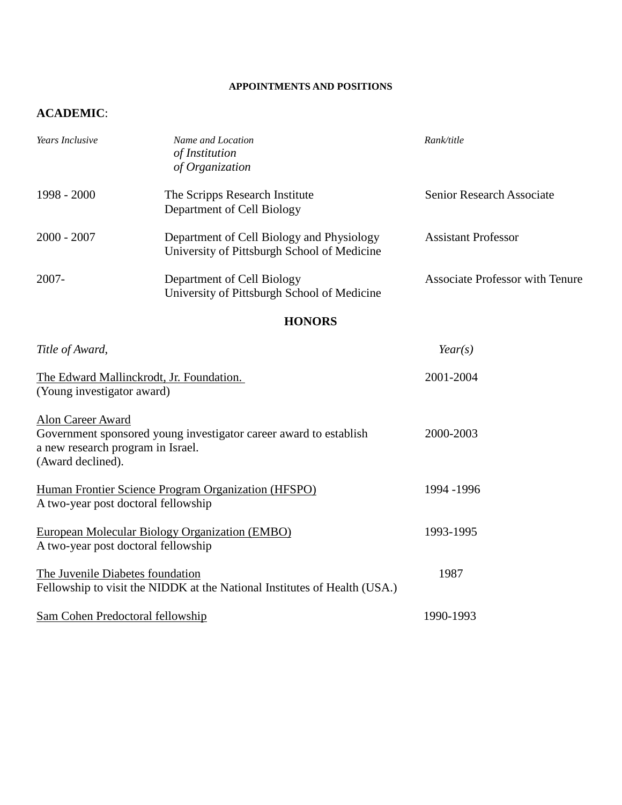#### **APPOINTMENTS AND POSITIONS**

# **ACADEMIC**:

| Years Inclusive                                                             | Name and Location<br>of Institution<br>of Organization                                   | Rank/title                             |
|-----------------------------------------------------------------------------|------------------------------------------------------------------------------------------|----------------------------------------|
| 1998 - 2000                                                                 | The Scripps Research Institute<br>Department of Cell Biology                             | <b>Senior Research Associate</b>       |
| $2000 - 2007$                                                               | Department of Cell Biology and Physiology<br>University of Pittsburgh School of Medicine | <b>Assistant Professor</b>             |
| 2007-                                                                       | Department of Cell Biology<br>University of Pittsburgh School of Medicine                | <b>Associate Professor with Tenure</b> |
|                                                                             | <b>HONORS</b>                                                                            |                                        |
| Title of Award,                                                             |                                                                                          | Year(s)                                |
| (Young investigator award)                                                  | The Edward Mallinckrodt, Jr. Foundation.                                                 | 2001-2004                              |
| Alon Career Award<br>a new research program in Israel.<br>(Award declined). | Government sponsored young investigator career award to establish                        | 2000-2003                              |
| A two-year post doctoral fellowship                                         | Human Frontier Science Program Organization (HFSPO)                                      | 1994 - 1996                            |
| A two-year post doctoral fellowship                                         | European Molecular Biology Organization (EMBO)                                           | 1993-1995                              |
| The Juvenile Diabetes foundation                                            | Fellowship to visit the NIDDK at the National Institutes of Health (USA.)                | 1987                                   |

Sam Cohen Predoctoral fellowship 1990-1993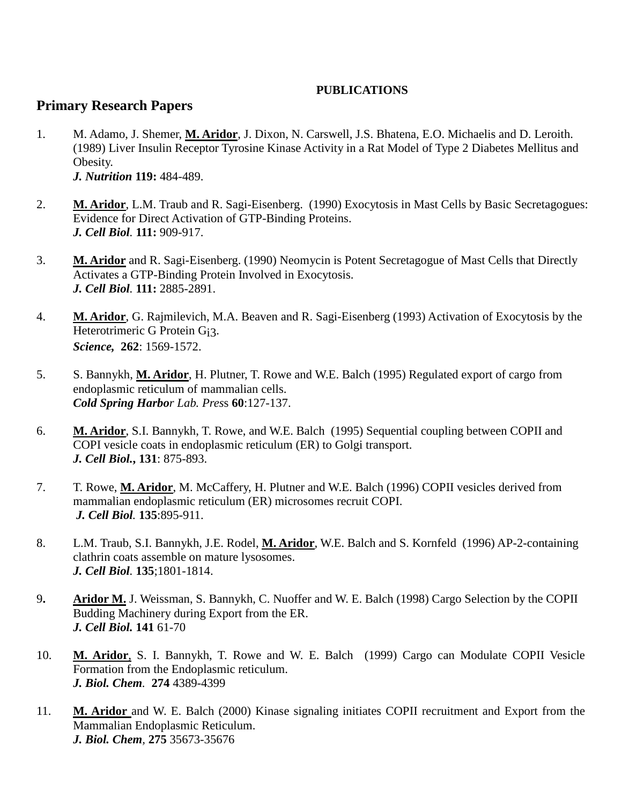## **PUBLICATIONS**

# **Primary Research Papers**

- 1. M. Adamo, J. Shemer, **M. Aridor**, J. Dixon, N. Carswell, J.S. Bhatena, E.O. Michaelis and D. Leroith. (1989) Liver Insulin Receptor Tyrosine Kinase Activity in a Rat Model of Type 2 Diabetes Mellitus and Obesity. *J. Nutrition* **119:** 484-489.
- 2. **M. Aridor**, L.M. Traub and R. Sagi-Eisenberg. (1990) Exocytosis in Mast Cells by Basic Secretagogues: Evidence for Direct Activation of GTP-Binding Proteins. *J. Cell Biol.* **111:** 909-917.
- 3. **M. Aridor** and R. Sagi-Eisenberg. (1990) Neomycin is Potent Secretagogue of Mast Cells that Directly Activates a GTP-Binding Protein Involved in Exocytosis. *J. Cell Biol.* **111:** 2885-2891.
- 4. **M. Aridor**, G. Rajmilevich, M.A. Beaven and R. Sagi-Eisenberg (1993) Activation of Exocytosis by the Heterotrimeric G Protein Gi3. *Science,* **262**: 1569-1572.
- 5. S. Bannykh, **M. Aridor**, H. Plutner, T. Rowe and W.E. Balch (1995) Regulated export of cargo from endoplasmic reticulum of mammalian cells. *Cold Spring Harbor Lab. Pres*s **60**:127-137.
- 6. **M. Aridor**, S.I. Bannykh, T. Rowe, and W.E. Balch (1995) Sequential coupling between COPII and COPI vesicle coats in endoplasmic reticulum (ER) to Golgi transport. *J. Cell Biol.***, 131**: 875-893.
- 7. T. Rowe, **M. Aridor**, M. McCaffery, H. Plutner and W.E. Balch (1996) COPII vesicles derived from mammalian endoplasmic reticulum (ER) microsomes recruit COPI. *J. Cell Biol.* **135**:895-911.
- 8. L.M. Traub, S.I. Bannykh, J.E. Rodel, **M. Aridor**, W.E. Balch and S. Kornfeld (1996) AP-2-containing clathrin coats assemble on mature lysosomes. *J. Cell Biol.* **135**;1801-1814.
- 9**. Aridor M.** J. Weissman, S. Bannykh, C. Nuoffer and W. E. Balch (1998) Cargo Selection by the COPII Budding Machinery during Export from the ER. *J. Cell Biol.* **141** 61-70
- 10. **M. Aridor**, S. I. Bannykh, T. Rowe and W. E. Balch (1999) Cargo can Modulate COPII Vesicle Formation from the Endoplasmic reticulum. *J. Biol. Chem.* **274** 4389-4399
- 11. **M. Aridor** and W. E. Balch (2000) Kinase signaling initiates COPII recruitment and Export from the Mammalian Endoplasmic Reticulum. *J. Biol. Chem,* **275** 35673-35676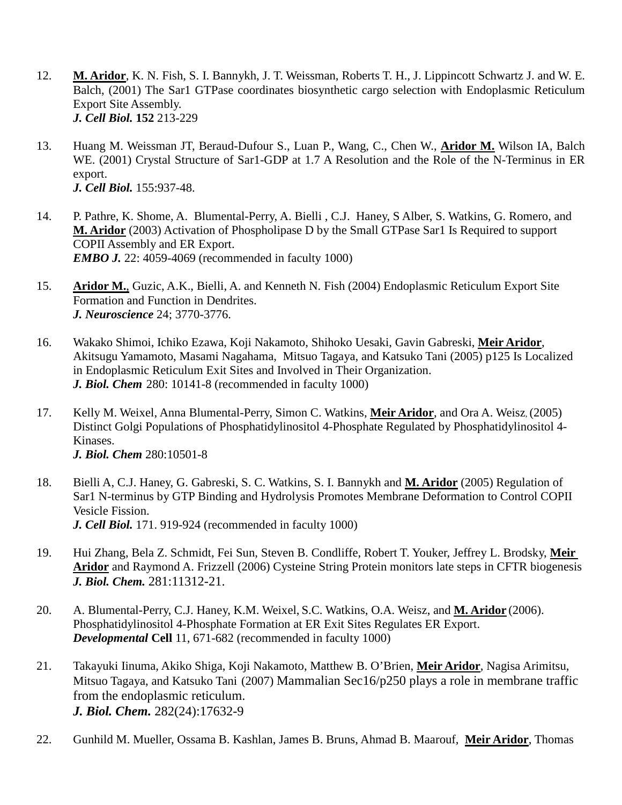- 12. **M. Aridor**, K. N. Fish, S. I. Bannykh, J. T. Weissman, Roberts T. H., J. Lippincott Schwartz J. and W. E. Balch, (2001) The Sar1 GTPase coordinates biosynthetic cargo selection with Endoplasmic Reticulum Export Site Assembly. *J. Cell Biol.* **152** 213-229
- 13. Huang M. Weissman JT, Beraud-Dufour S., Luan P., Wang, C., Chen W., **Aridor M.** Wilson IA, Balch WE. (2001) Crystal Structure of Sar1-GDP at 1.7 A Resolution and the Role of the N-Terminus in ER export. *J. Cell Biol.* 155:937-48.
- 14. P. Pathre, K. Shome, A. Blumental-Perry, A. Bielli , C.J. Haney, S Alber, S. Watkins, G. Romero, and **M. Aridor** (2003) Activation of Phospholipase D by the Small GTPase Sar1 Is Required to support COPII Assembly and ER Export. *EMBO J.* 22: 4059-4069 (recommended in faculty 1000)
- 15. **Aridor M.**, Guzic, A.K., Bielli, A. and Kenneth N. Fish (2004) Endoplasmic Reticulum Export Site Formation and Function in Dendrites. *J. Neuroscience* 24; 3770-3776.
- 16. Wakako Shimoi, Ichiko Ezawa, Koji Nakamoto, Shihoko Uesaki, Gavin Gabreski, **Meir Aridor**, Akitsugu Yamamoto, Masami Nagahama, Mitsuo Tagaya, and Katsuko Tani (2005) p125 Is Localized in Endoplasmic Reticulum Exit Sites and Involved in Their Organization. *J. Biol. Chem* 280: 10141-8 (recommended in faculty 1000)
- 17. Kelly M. Weixel, Anna Blumental-Perry, Simon C. Watkins, **Meir Aridor**, and Ora A. Weisz, (2005) Distinct Golgi Populations of Phosphatidylinositol 4-Phosphate Regulated by Phosphatidylinositol 4- Kinases. *J. Biol. Chem* 280:10501-8
- 18. Bielli A, C.J. Haney, G. Gabreski, S. C. Watkins, S. I. Bannykh and **M. Aridor** (2005) Regulation of Sar1 N-terminus by GTP Binding and Hydrolysis Promotes Membrane Deformation to Control COPII Vesicle Fission. *J. Cell Biol.* 171. 919-924 (recommended in faculty 1000)
- 19. Hui Zhang, Bela Z. Schmidt, Fei Sun, Steven B. Condliffe, Robert T. Youker, Jeffrey L. Brodsky, **Meir Aridor** and Raymond A. Frizzell (2006) Cysteine String Protein monitors late steps in CFTR biogenesis *J. Biol. Chem.* 281:11312-21.
- 20. A. Blumental-Perry, C.J. Haney, K.M. Weixel, S.C. Watkins, O.A. Weisz, and **M. Aridor** (2006). Phosphatidylinositol 4-Phosphate Formation at ER Exit Sites Regulates ER Export. *Developmental* **Cell** 11, 671-682 (recommended in faculty 1000)
- 21. Takayuki Iinuma, Akiko Shiga, Koji Nakamoto, Matthew B. O'Brien, **Meir Aridor**, Nagisa Arimitsu, Mitsuo Tagaya, and Katsuko Tani (2007) Mammalian Sec16/p250 plays a role in membrane traffic from the endoplasmic reticulum. *J. Biol. Chem.* 282(24):17632-9
- 22. Gunhild M. Mueller, Ossama B. Kashlan, James B. Bruns, Ahmad B. Maarouf, **Meir Aridor**, Thomas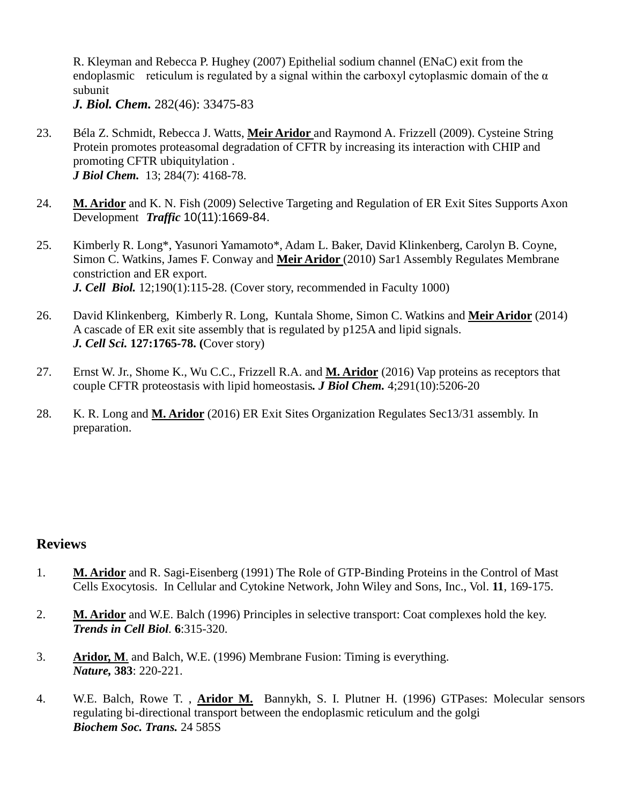R. Kleyman and Rebecca P. Hughey (2007) Epithelial sodium channel (ENaC) exit from the endoplasmic reticulum is regulated by a signal within the carboxyl cytoplasmic domain of the  $\alpha$ subunit

*J. Biol. Chem.* 282(46): 33475-83

- 23. Béla Z. Schmidt, Rebecca J. Watts, **Meir Aridor** and Raymond A. Frizzell (2009). Cysteine String Protein promotes proteasomal degradation of CFTR by increasing its interaction with CHIP and promoting CFTR ubiquitylation . *J Biol Chem.* 13; 284(7): 4168-78.
- 24. **M. Aridor** and K. N. Fish (2009) Selective Targeting and Regulation of ER Exit Sites Supports Axon Development *Traffic* 10(11):1669-84.
- 25. Kimberly R. Long\*, Yasunori Yamamoto\*, Adam L. Baker, David Klinkenberg, Carolyn B. Coyne, Simon C. Watkins, James F. Conway and **Meir Aridor** (2010) Sar1 Assembly Regulates Membrane constriction and ER export. *J. Cell Biol.* 12;190(1):115-28. (Cover story, recommended in Faculty 1000)
- 26. David Klinkenberg, Kimberly R. Long, Kuntala Shome, Simon C. Watkins and **Meir Aridor** (2014) A cascade of ER exit site assembly that is regulated by p125A and lipid signals. *J. Cell Sci.* **127:1765-78. (**Cover story)
- 27. Ernst W. Jr., Shome K., Wu C.C., Frizzell R.A. and **M. Aridor** (2016) Vap proteins as receptors that couple CFTR proteostasis with lipid homeostasis*. J Biol Chem.* 4;291(10):5206-20
- 28. K. R. Long and **M. Aridor** (2016) ER Exit Sites Organization Regulates Sec13/31 assembly. In preparation.

# **Reviews**

- 1. **M. Aridor** and R. Sagi-Eisenberg (1991) The Role of GTP-Binding Proteins in the Control of Mast Cells Exocytosis. In Cellular and Cytokine Network, John Wiley and Sons, Inc., Vol. **11**, 169-175.
- 2. **M. Aridor** and W.E. Balch (1996) Principles in selective transport: Coat complexes hold the key. *Trends in Cell Biol.* **6**:315-320.
- 3. **Aridor, M**. and Balch, W.E. (1996) Membrane Fusion: Timing is everything. *Nature,* **383**: 220-221.
- 4. W.E. Balch, Rowe T. , **Aridor M.** Bannykh, S. I. Plutner H. (1996) GTPases: Molecular sensors regulating bi-directional transport between the endoplasmic reticulum and the golgi *Biochem Soc. Trans.* 24 585S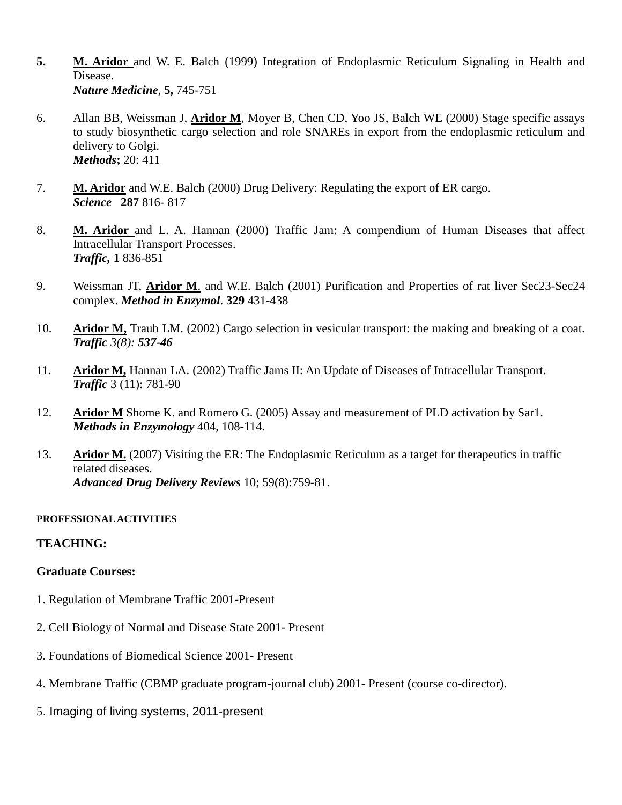- **5. M. Aridor** and W. E. Balch (1999) Integration of Endoplasmic Reticulum Signaling in Health and Disease. *Nature Medicine,* **5,** 745-751
- 6. Allan BB, Weissman J, **Aridor M**, Moyer B, Chen CD, Yoo JS, Balch WE (2000) Stage specific assays to study biosynthetic cargo selection and role SNAREs in export from the endoplasmic reticulum and delivery to Golgi. *Methods***;** 20: 411
- 7. **M. Aridor** and W.E. Balch (2000) Drug Delivery: Regulating the export of ER cargo. *Science* **287** 816- 817
- 8. **M. Aridor** and L. A. Hannan (2000) Traffic Jam: A compendium of Human Diseases that affect Intracellular Transport Processes. *Traffic,* **1** 836-851
- 9. Weissman JT, **Aridor M**. and W.E. Balch (2001) Purification and Properties of rat liver Sec23-Sec24 complex. *Method in Enzymol*. **329** 431-438
- 10. **Aridor M,** Traub LM. (2002) Cargo selection in vesicular transport: the making and breaking of a coat. *Traffic 3(8): 537-46*
- 11. **Aridor M,** Hannan LA. (2002) Traffic Jams II: An Update of Diseases of Intracellular Transport. *Traffic* 3 (11): 781-90
- 12. **Aridor M** Shome K. and Romero G. (2005) Assay and measurement of PLD activation by Sar1. *Methods in Enzymology* 404, 108-114.
- 13. **Aridor M.** (2007) Visiting the ER: The Endoplasmic Reticulum as a target for therapeutics in traffic related diseases. *Advanced Drug Delivery Reviews* 10; 59(8):759-81.

### **PROFESSIONAL ACTIVITIES**

### **TEACHING:**

### **Graduate Courses:**

- 1. Regulation of Membrane Traffic 2001-Present
- 2. Cell Biology of Normal and Disease State 2001- Present
- 3. Foundations of Biomedical Science 2001- Present
- 4. Membrane Traffic (CBMP graduate program-journal club) 2001- Present (course co-director).
- 5. Imaging of living systems, 2011-present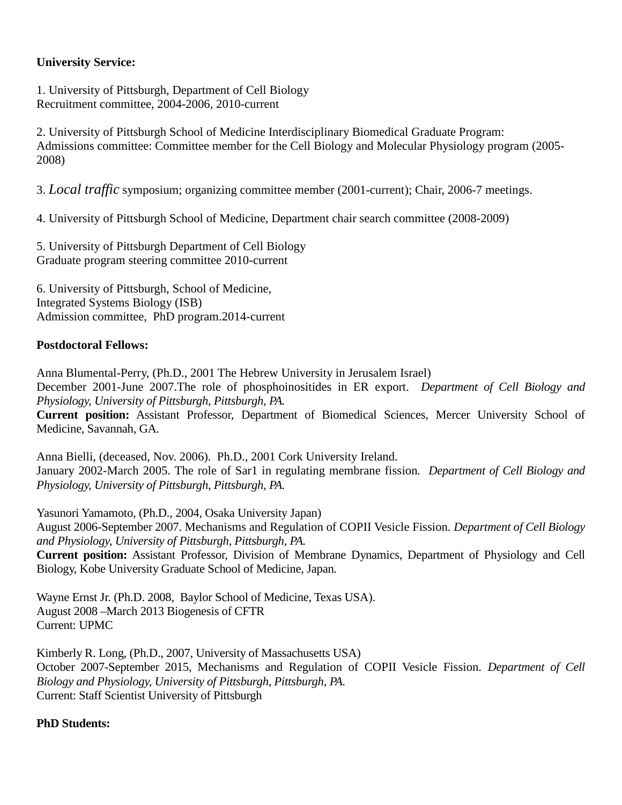# **University Service:**

1. University of Pittsburgh, Department of Cell Biology Recruitment committee, 2004-2006, 2010-current

2. University of Pittsburgh School of Medicine Interdisciplinary Biomedical Graduate Program: Admissions committee: Committee member for the Cell Biology and Molecular Physiology program (2005- 2008)

3. *Local traffic* symposium; organizing committee member (2001-current); Chair, 2006-7 meetings.

4. University of Pittsburgh School of Medicine, Department chair search committee (2008-2009)

5. University of Pittsburgh Department of Cell Biology Graduate program steering committee 2010-current

6. University of Pittsburgh, School of Medicine, Integrated Systems Biology (ISB) Admission committee, PhD program.2014-current

# **Postdoctoral Fellows:**

Anna Blumental-Perry, (Ph.D., 2001 The Hebrew University in Jerusalem Israel) December 2001-June 2007.The role of phosphoinositides in ER export. *Department of Cell Biology and Physiology, University of Pittsburgh, Pittsburgh, PA.* **Current position:** Assistant Professor, Department of Biomedical Sciences, Mercer University School of Medicine, Savannah, GA*.*

Anna Bielli, (deceased, Nov. 2006). Ph.D., 2001 Cork University Ireland. January 2002-March 2005. The role of Sar1 in regulating membrane fission*. Department of Cell Biology and Physiology, University of Pittsburgh, Pittsburgh, PA.*

Yasunori Yamamoto, (Ph.D., 2004, Osaka University Japan) August 2006-September 2007. Mechanisms and Regulation of COPII Vesicle Fission. *Department of Cell Biology and Physiology, University of Pittsburgh, Pittsburgh, PA.*

**Current position:** Assistant Professor, Division of Membrane Dynamics, Department of Physiology and Cell Biology, Kobe University Graduate School of Medicine, Japan.

Wayne Ernst Jr. (Ph.D. 2008, Baylor School of Medicine, Texas USA). August 2008 –March 2013 Biogenesis of CFTR Current: UPMC

Kimberly R. Long, (Ph.D., 2007, University of Massachusetts USA) October 2007-September 2015, Mechanisms and Regulation of COPII Vesicle Fission. *Department of Cell Biology and Physiology, University of Pittsburgh, Pittsburgh, PA.* Current: Staff Scientist University of Pittsburgh

# **PhD Students:**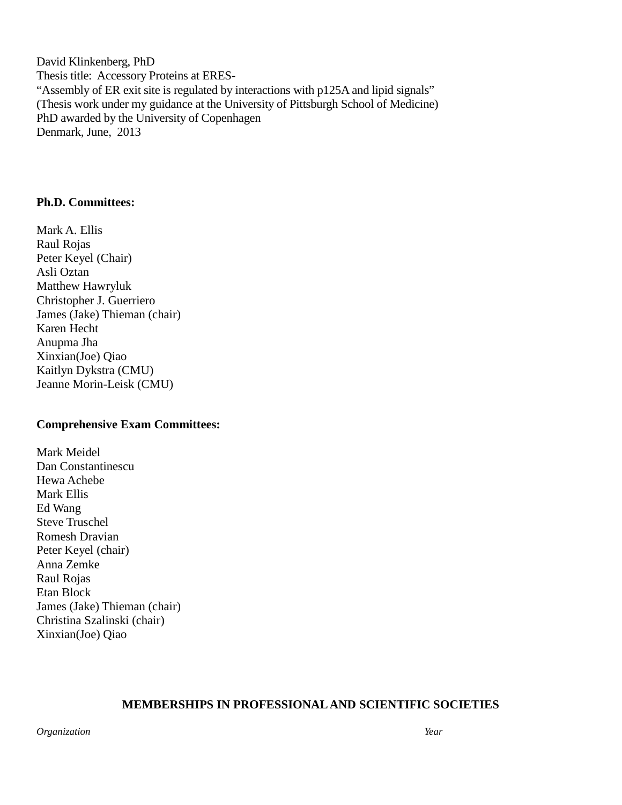David Klinkenberg, PhD Thesis title: Accessory Proteins at ERES- "Assembly of ER exit site is regulated by interactions with p125A and lipid signals" (Thesis work under my guidance at the University of Pittsburgh School of Medicine) PhD awarded by the University of Copenhagen Denmark, June, 2013

### **Ph.D. Committees:**

Mark A. Ellis Raul Rojas Peter Keyel (Chair) Asli Oztan Matthew Hawryluk Christopher J. Guerriero James (Jake) Thieman (chair) Karen Hecht Anupma Jha Xinxian(Joe) Qiao Kaitlyn Dykstra (CMU) Jeanne Morin-Leisk (CMU)

### **Comprehensive Exam Committees:**

Mark Meidel Dan Constantinescu Hewa Achebe Mark Ellis Ed Wang Steve Truschel Romesh Dravian Peter Keyel (chair) Anna Zemke Raul Rojas Etan Block James (Jake) Thieman (chair) Christina Szalinski (chair) Xinxian(Joe) Qiao

### **MEMBERSHIPS IN PROFESSIONAL AND SCIENTIFIC SOCIETIES**

*Organization Year*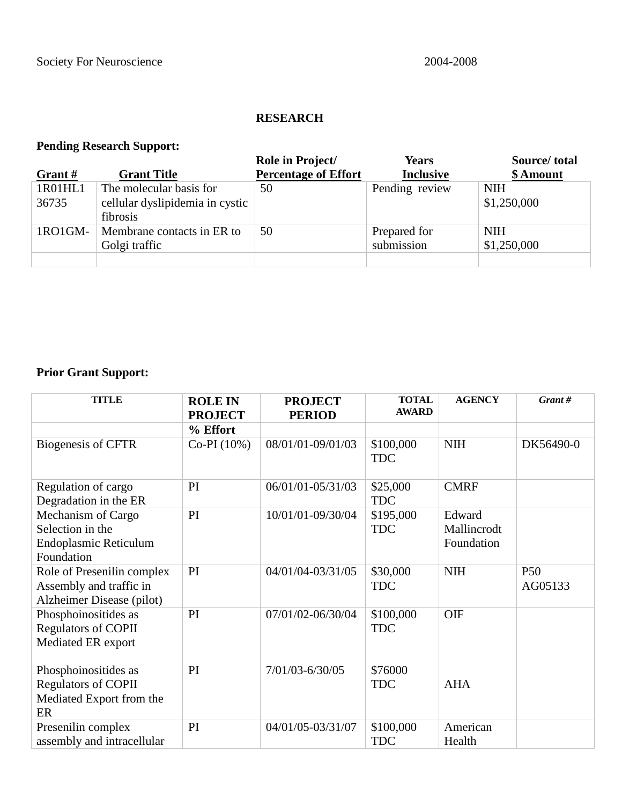# **RESEARCH**

# **Pending Research Support:**

|           |                                 | Role in Project/            | <b>Years</b>     | Source/total |
|-----------|---------------------------------|-----------------------------|------------------|--------------|
| Grant $#$ | <b>Grant Title</b>              | <b>Percentage of Effort</b> | <b>Inclusive</b> | \$ Amount    |
| 1R01HL1   | The molecular basis for         | 50                          | Pending review   | <b>NIH</b>   |
| 36735     | cellular dyslipidemia in cystic |                             |                  | \$1,250,000  |
|           | fibrosis                        |                             |                  |              |
| 1RO1GM-   | Membrane contacts in ER to      | 50                          | Prepared for     | <b>NIH</b>   |
|           | Golgi traffic                   |                             | submission       | \$1,250,000  |
|           |                                 |                             |                  |              |

# **Prior Grant Support:**

| <b>TITLE</b>                                                                         | <b>ROLE IN</b><br><b>PROJECT</b> | <b>PROJECT</b><br><b>PERIOD</b> | <b>TOTAL</b><br><b>AWARD</b> | <b>AGENCY</b>                       | Grant#                     |
|--------------------------------------------------------------------------------------|----------------------------------|---------------------------------|------------------------------|-------------------------------------|----------------------------|
|                                                                                      | % Effort                         |                                 |                              |                                     |                            |
| Biogenesis of CFTR                                                                   | $Co-PI(10%)$                     | 08/01/01-09/01/03               | \$100,000<br><b>TDC</b>      | <b>NIH</b>                          | DK56490-0                  |
| Regulation of cargo<br>Degradation in the ER                                         | PI                               | 06/01/01-05/31/03               | \$25,000<br><b>TDC</b>       | <b>CMRF</b>                         |                            |
| Mechanism of Cargo<br>Selection in the<br><b>Endoplasmic Reticulum</b><br>Foundation | PI                               | 10/01/01-09/30/04               | \$195,000<br><b>TDC</b>      | Edward<br>Mallincrodt<br>Foundation |                            |
| Role of Presenilin complex<br>Assembly and traffic in<br>Alzheimer Disease (pilot)   | PI                               | 04/01/04-03/31/05               | \$30,000<br><b>TDC</b>       | <b>NIH</b>                          | P <sub>50</sub><br>AG05133 |
| Phosphoinositides as<br><b>Regulators of COPII</b><br>Mediated ER export             | PI                               | 07/01/02-06/30/04               | \$100,000<br><b>TDC</b>      | OIF                                 |                            |
| Phosphoinositides as<br><b>Regulators of COPII</b><br>Mediated Export from the<br>ER | PI                               | 7/01/03-6/30/05                 | \$76000<br><b>TDC</b>        | <b>AHA</b>                          |                            |
| Presenilin complex<br>assembly and intracellular                                     | PI                               | 04/01/05-03/31/07               | \$100,000<br><b>TDC</b>      | American<br>Health                  |                            |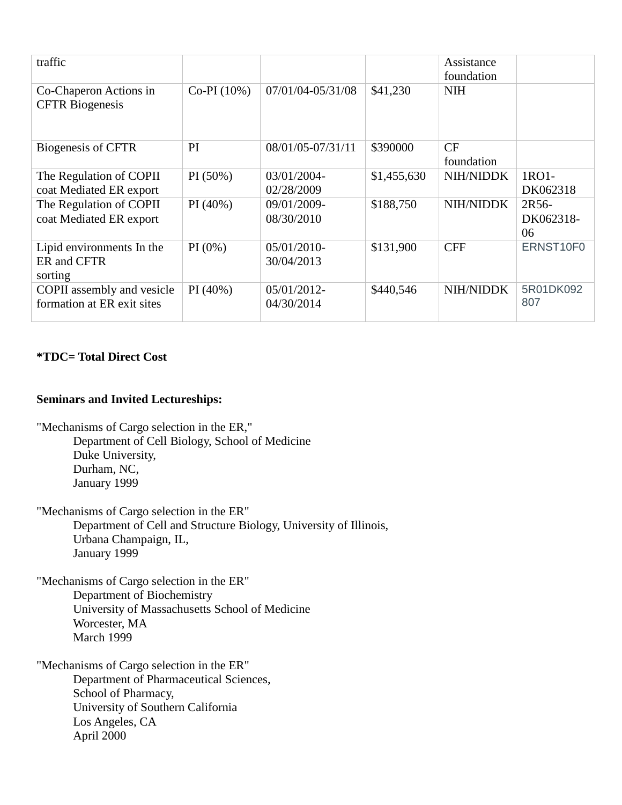| traffic                                                  |              |                              |             | Assistance<br>foundation |                          |
|----------------------------------------------------------|--------------|------------------------------|-------------|--------------------------|--------------------------|
| Co-Chaperon Actions in<br><b>CFTR</b> Biogenesis         | $Co-PI(10%)$ | 07/01/04-05/31/08            | \$41,230    | <b>NIH</b>               |                          |
| Biogenesis of CFTR                                       | PI           | 08/01/05-07/31/11            | \$390000    | CF<br>foundation         |                          |
| The Regulation of COPII<br>coat Mediated ER export       | $PI(50\%)$   | 03/01/2004-<br>02/28/2009    | \$1,455,630 | <b>NIH/NIDDK</b>         | 1RO1-<br>DK062318        |
| The Regulation of COPII<br>coat Mediated ER export       | $PI(40\%)$   | 09/01/2009-<br>08/30/2010    | \$188,750   | <b>NIH/NIDDK</b>         | 2R56-<br>DK062318-<br>06 |
| Lipid environments In the<br>ER and CFTR<br>sorting      | $PI(0\%)$    | $05/01/2010$ -<br>30/04/2013 | \$131,900   | <b>CFF</b>               | ERNST10F0                |
| COPII assembly and vesicle<br>formation at ER exit sites | $PI(40\%)$   | $05/01/2012$ -<br>04/30/2014 | \$440,546   | <b>NIH/NIDDK</b>         | 5R01DK092<br>807         |

# **\*TDC= Total Direct Cost**

## **Seminars and Invited Lectureships:**

"Mechanisms of Cargo selection in the ER," Department of Cell Biology, School of Medicine Duke University, Durham, NC, January 1999

"Mechanisms of Cargo selection in the ER"

Department of Cell and Structure Biology, University of Illinois, Urbana Champaign, IL, January 1999

"Mechanisms of Cargo selection in the ER" Department of Biochemistry University of Massachusetts School of Medicine Worcester, MA March 1999

"Mechanisms of Cargo selection in the ER" Department of Pharmaceutical Sciences, School of Pharmacy, University of Southern California Los Angeles, CA April 2000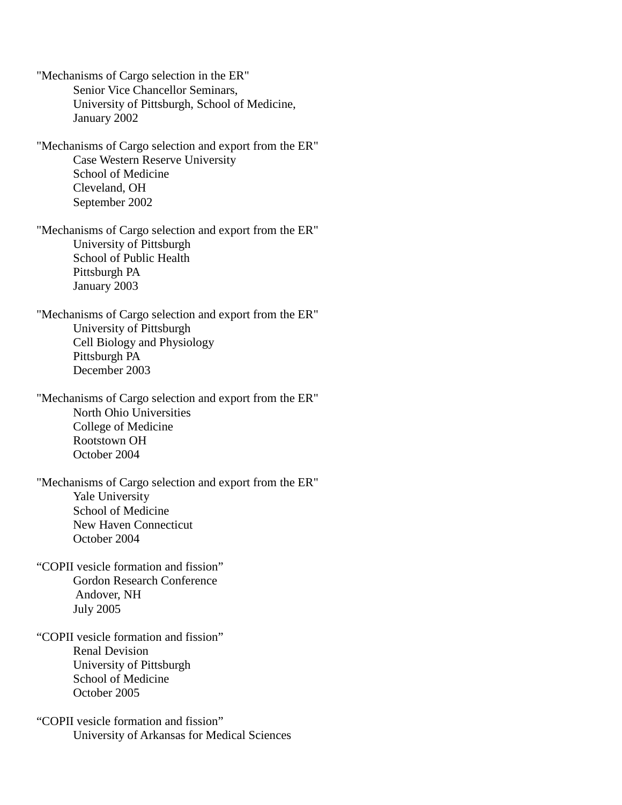"Mechanisms of Cargo selection in the ER" Senior Vice Chancellor Seminars, University of Pittsburgh, School of Medicine, January 2002 "Mechanisms of Cargo selection and export from the ER" Case Western Reserve University School of Medicine Cleveland, OH September 2002 "Mechanisms of Cargo selection and export from the ER" University of Pittsburgh School of Public Health Pittsburgh PA January 2003 "Mechanisms of Cargo selection and export from the ER" University of Pittsburgh Cell Biology and Physiology Pittsburgh PA December 2003 "Mechanisms of Cargo selection and export from the ER" North Ohio Universities College of Medicine Rootstown OH October 2004 "Mechanisms of Cargo selection and export from the ER" Yale University School of Medicine New Haven Connecticut October 2004 "COPII vesicle formation and fission" Gordon Research Conference Andover, NH July 2005 "COPII vesicle formation and fission" Renal Devision University of Pittsburgh School of Medicine October 2005 "COPII vesicle formation and fission"

University of Arkansas for Medical Sciences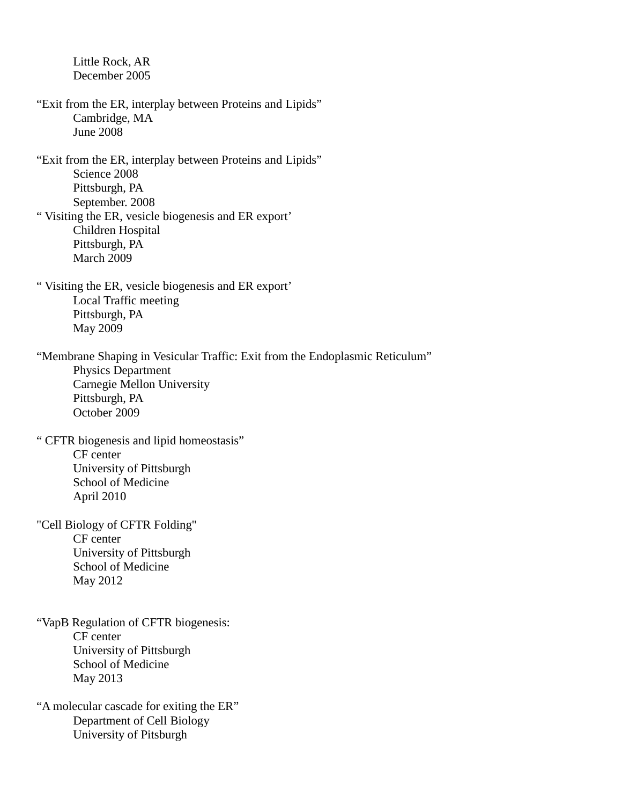Little Rock, AR December 2005

- "Exit from the ER, interplay between Proteins and Lipids" Cambridge, MA June 2008
- "Exit from the ER, interplay between Proteins and Lipids" Science 2008 Pittsburgh, PA September. 2008 " Visiting the ER, vesicle biogenesis and ER export' Children Hospital Pittsburgh, PA
	- March 2009
- " Visiting the ER, vesicle biogenesis and ER export' Local Traffic meeting Pittsburgh, PA May 2009

"Membrane Shaping in Vesicular Traffic: Exit from the Endoplasmic Reticulum" Physics Department Carnegie Mellon University Pittsburgh, PA October 2009

- " CFTR biogenesis and lipid homeostasis" CF center University of Pittsburgh School of Medicine April 2010
- "Cell Biology of CFTR Folding" CF center University of Pittsburgh School of Medicine May 2012
- "VapB Regulation of CFTR biogenesis: CF center University of Pittsburgh School of Medicine May 2013
- "A molecular cascade for exiting the ER" Department of Cell Biology University of Pitsburgh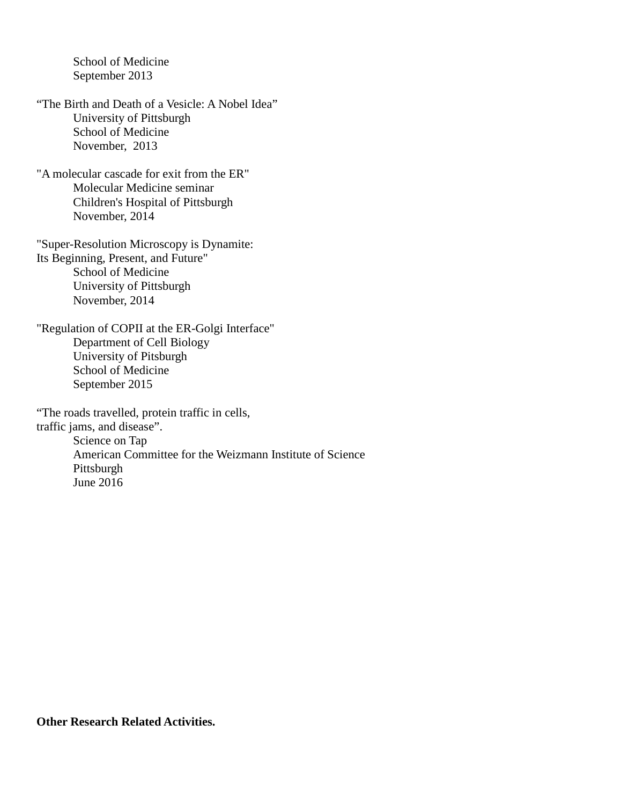School of Medicine September 2013

- "The Birth and Death of a Vesicle: A Nobel Idea" University of Pittsburgh School of Medicine November, 2013
- "A molecular cascade for exit from the ER" Molecular Medicine seminar Children's Hospital of Pittsburgh November, 2014

"Super-Resolution Microscopy is Dynamite: Its Beginning, Present, and Future" School of Medicine University of Pittsburgh November, 2014

"Regulation of COPII at the ER-Golgi Interface" Department of Cell Biology University of Pitsburgh School of Medicine September 2015

"The roads travelled, protein traffic in cells, traffic jams, and disease". Science on Tap American Committee for the Weizmann Institute of Science Pittsburgh June 2016

**Other Research Related Activities.**